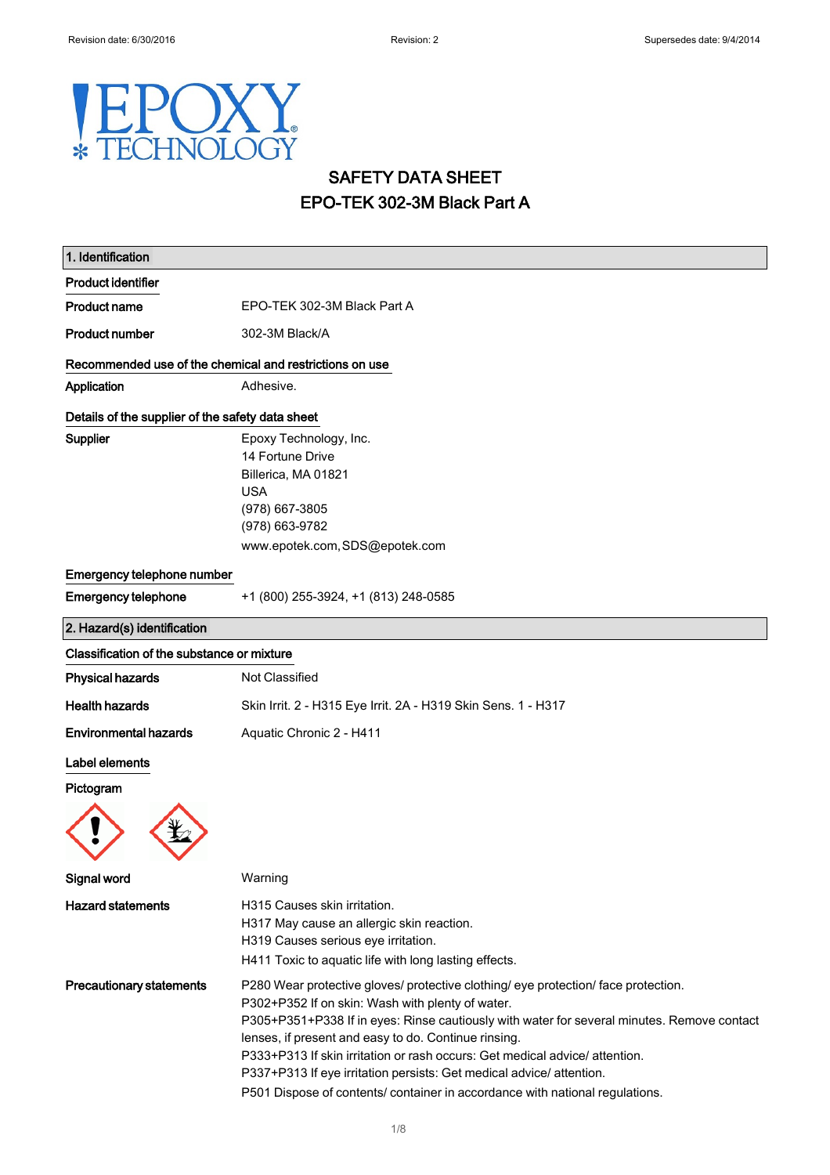### POXY. E **HNOL JGY**  $\ast$

# SAFETY DATA SHEET EPO-TEK 302-3M Black Part A

| 1. Identification                                       |                                                                                                                                                                                                                                                                                                                                                                                                                                                                                                                                     |
|---------------------------------------------------------|-------------------------------------------------------------------------------------------------------------------------------------------------------------------------------------------------------------------------------------------------------------------------------------------------------------------------------------------------------------------------------------------------------------------------------------------------------------------------------------------------------------------------------------|
| <b>Product identifier</b>                               |                                                                                                                                                                                                                                                                                                                                                                                                                                                                                                                                     |
| <b>Product name</b>                                     | EPO-TEK 302-3M Black Part A                                                                                                                                                                                                                                                                                                                                                                                                                                                                                                         |
| <b>Product number</b>                                   | 302-3M Black/A                                                                                                                                                                                                                                                                                                                                                                                                                                                                                                                      |
| Recommended use of the chemical and restrictions on use |                                                                                                                                                                                                                                                                                                                                                                                                                                                                                                                                     |
| Application                                             | Adhesive.                                                                                                                                                                                                                                                                                                                                                                                                                                                                                                                           |
| Details of the supplier of the safety data sheet        |                                                                                                                                                                                                                                                                                                                                                                                                                                                                                                                                     |
| Supplier                                                | Epoxy Technology, Inc.<br>14 Fortune Drive<br>Billerica, MA 01821<br><b>USA</b><br>(978) 667-3805<br>(978) 663-9782<br>www.epotek.com, SDS@epotek.com                                                                                                                                                                                                                                                                                                                                                                               |
| Emergency telephone number                              |                                                                                                                                                                                                                                                                                                                                                                                                                                                                                                                                     |
| <b>Emergency telephone</b>                              | +1 (800) 255-3924, +1 (813) 248-0585                                                                                                                                                                                                                                                                                                                                                                                                                                                                                                |
| 2. Hazard(s) identification                             |                                                                                                                                                                                                                                                                                                                                                                                                                                                                                                                                     |
| Classification of the substance or mixture              |                                                                                                                                                                                                                                                                                                                                                                                                                                                                                                                                     |
| <b>Physical hazards</b>                                 | Not Classified                                                                                                                                                                                                                                                                                                                                                                                                                                                                                                                      |
| <b>Health hazards</b>                                   | Skin Irrit. 2 - H315 Eye Irrit. 2A - H319 Skin Sens. 1 - H317                                                                                                                                                                                                                                                                                                                                                                                                                                                                       |
| <b>Environmental hazards</b>                            | Aquatic Chronic 2 - H411                                                                                                                                                                                                                                                                                                                                                                                                                                                                                                            |
| Label elements<br>Pictogram                             |                                                                                                                                                                                                                                                                                                                                                                                                                                                                                                                                     |
| Signal word                                             | Warning                                                                                                                                                                                                                                                                                                                                                                                                                                                                                                                             |
| <b>Hazard statements</b>                                | H315 Causes skin irritation.<br>H317 May cause an allergic skin reaction.<br>H319 Causes serious eye irritation.<br>H411 Toxic to aquatic life with long lasting effects.                                                                                                                                                                                                                                                                                                                                                           |
| <b>Precautionary statements</b>                         | P280 Wear protective gloves/ protective clothing/ eye protection/ face protection.<br>P302+P352 If on skin: Wash with plenty of water.<br>P305+P351+P338 If in eyes: Rinse cautiously with water for several minutes. Remove contact<br>lenses, if present and easy to do. Continue rinsing.<br>P333+P313 If skin irritation or rash occurs: Get medical advice/ attention.<br>P337+P313 If eye irritation persists: Get medical advice/ attention.<br>P501 Dispose of contents/ container in accordance with national regulations. |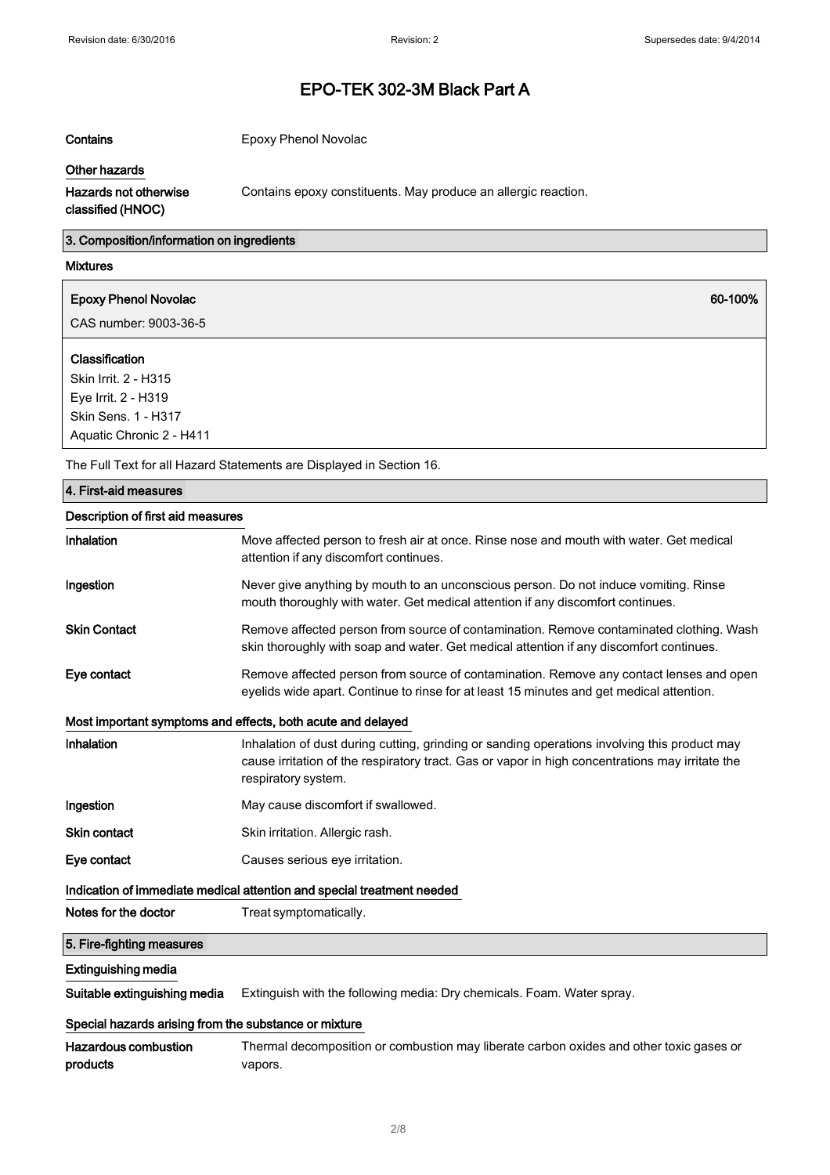Contains Epoxy Phenol Novolac

#### Other hazards

Contains epoxy constituents. May produce an allergic reaction.

### Hazards not otherwise classified (HNOC)

3. Composition/information on ingredients

#### Mixtures

| <b>Epoxy Phenol Novolac</b> | 60-100% |
|-----------------------------|---------|
| CAS number: 9003-36-5       |         |
| Classification              |         |
| Skin Irrit. 2 - H315        |         |
| Eye Irrit. 2 - H319         |         |
| Skin Sens. 1 - H317         |         |
| Aquatic Chronic 2 - H411    |         |

The Full Text for all Hazard Statements are Displayed in Section 16.

# Description of first aid measures Inhalation Move affected person to fresh air at once. Rinse nose and mouth with water. Get medical attention if any discomfort continues. Ingestion **Never give anything by mouth to an unconscious person**. Do not induce vomiting. Rinse mouth thoroughly with water. Get medical attention if any discomfort continues. Skin Contact **Remove affected person from source of contamination**. Remove contaminated clothing. Wash skin thoroughly with soap and water. Get medical attention if any discomfort continues. Eye contact Remove affected person from source of contamination. Remove any contact lenses and open eyelids wide apart. Continue to rinse for at least 15 minutes and get medical attention. Most important symptoms and effects, both acute and delayed Inhalation Inhalation of dust during cutting, grinding or sanding operations involving this product may cause irritation of the respiratory tract. Gas or vapor in high concentrations may irritate the respiratory system. Ingestion May cause discomfort if swallowed. Skin contact Skin irritation. Allergic rash. Eye contact Causes serious eye irritation. Indication of immediate medical attention and special treatment needed Notes for the doctor Treat symptomatically. Extinguishing media 5. Fire-fighting measures 4. First-aid measures

Suitable extinguishing media Extinguish with the following media: Dry chemicals. Foam. Water spray.

### Special hazards arising from the substance or mixture

Hazardous combustion products Thermal decomposition or combustion may liberate carbon oxides and other toxic gases or vapors.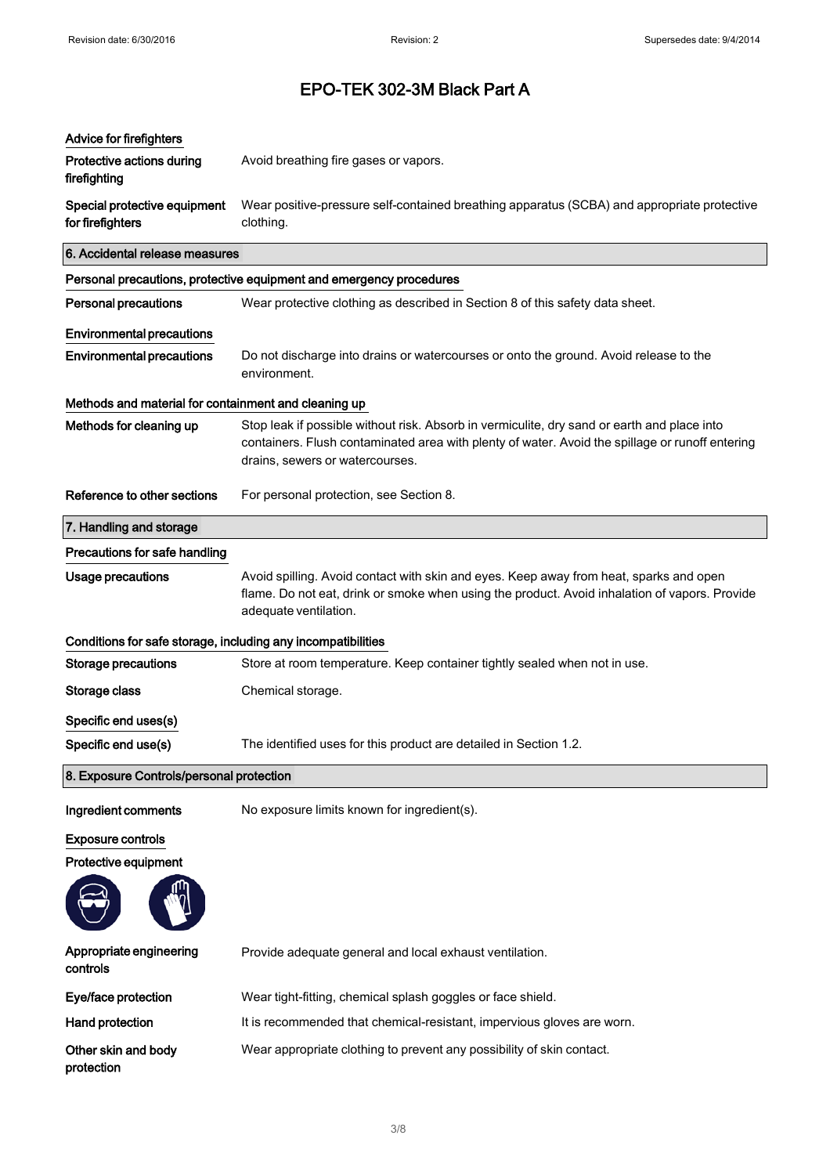| <b>Advice for firefighters</b><br>Protective actions during<br>firefighting | Avoid breathing fire gases or vapors.                                                                                                                                                                                             |
|-----------------------------------------------------------------------------|-----------------------------------------------------------------------------------------------------------------------------------------------------------------------------------------------------------------------------------|
| Special protective equipment<br>for firefighters                            | Wear positive-pressure self-contained breathing apparatus (SCBA) and appropriate protective<br>clothing.                                                                                                                          |
| 6. Accidental release measures                                              |                                                                                                                                                                                                                                   |
|                                                                             | Personal precautions, protective equipment and emergency procedures                                                                                                                                                               |
| <b>Personal precautions</b>                                                 | Wear protective clothing as described in Section 8 of this safety data sheet.                                                                                                                                                     |
| <b>Environmental precautions</b>                                            |                                                                                                                                                                                                                                   |
| <b>Environmental precautions</b>                                            | Do not discharge into drains or watercourses or onto the ground. Avoid release to the<br>environment.                                                                                                                             |
| Methods and material for containment and cleaning up                        |                                                                                                                                                                                                                                   |
| Methods for cleaning up                                                     | Stop leak if possible without risk. Absorb in vermiculite, dry sand or earth and place into<br>containers. Flush contaminated area with plenty of water. Avoid the spillage or runoff entering<br>drains, sewers or watercourses. |
| Reference to other sections                                                 | For personal protection, see Section 8.                                                                                                                                                                                           |
| 7. Handling and storage                                                     |                                                                                                                                                                                                                                   |
| Precautions for safe handling                                               |                                                                                                                                                                                                                                   |
| Usage precautions                                                           | Avoid spilling. Avoid contact with skin and eyes. Keep away from heat, sparks and open<br>flame. Do not eat, drink or smoke when using the product. Avoid inhalation of vapors. Provide<br>adequate ventilation.                  |
| Conditions for safe storage, including any incompatibilities                |                                                                                                                                                                                                                                   |
| <b>Storage precautions</b>                                                  | Store at room temperature. Keep container tightly sealed when not in use.                                                                                                                                                         |
| Storage class                                                               | Chemical storage.                                                                                                                                                                                                                 |
| Specific end uses(s)                                                        |                                                                                                                                                                                                                                   |
| Specific end use(s)                                                         | The identified uses for this product are detailed in Section 1.2.                                                                                                                                                                 |
| 8. Exposure Controls/personal protection                                    |                                                                                                                                                                                                                                   |
| Ingredient comments                                                         | No exposure limits known for ingredient(s).                                                                                                                                                                                       |
| <b>Exposure controls</b>                                                    |                                                                                                                                                                                                                                   |
| Protective equipment                                                        |                                                                                                                                                                                                                                   |
|                                                                             |                                                                                                                                                                                                                                   |
| Appropriate engineering<br>controls                                         | Provide adequate general and local exhaust ventilation.                                                                                                                                                                           |
| Eye/face protection                                                         | Wear tight-fitting, chemical splash goggles or face shield.                                                                                                                                                                       |
| <b>Hand protection</b>                                                      | It is recommended that chemical-resistant, impervious gloves are worn.                                                                                                                                                            |
| Other skin and body<br>protection                                           | Wear appropriate clothing to prevent any possibility of skin contact.                                                                                                                                                             |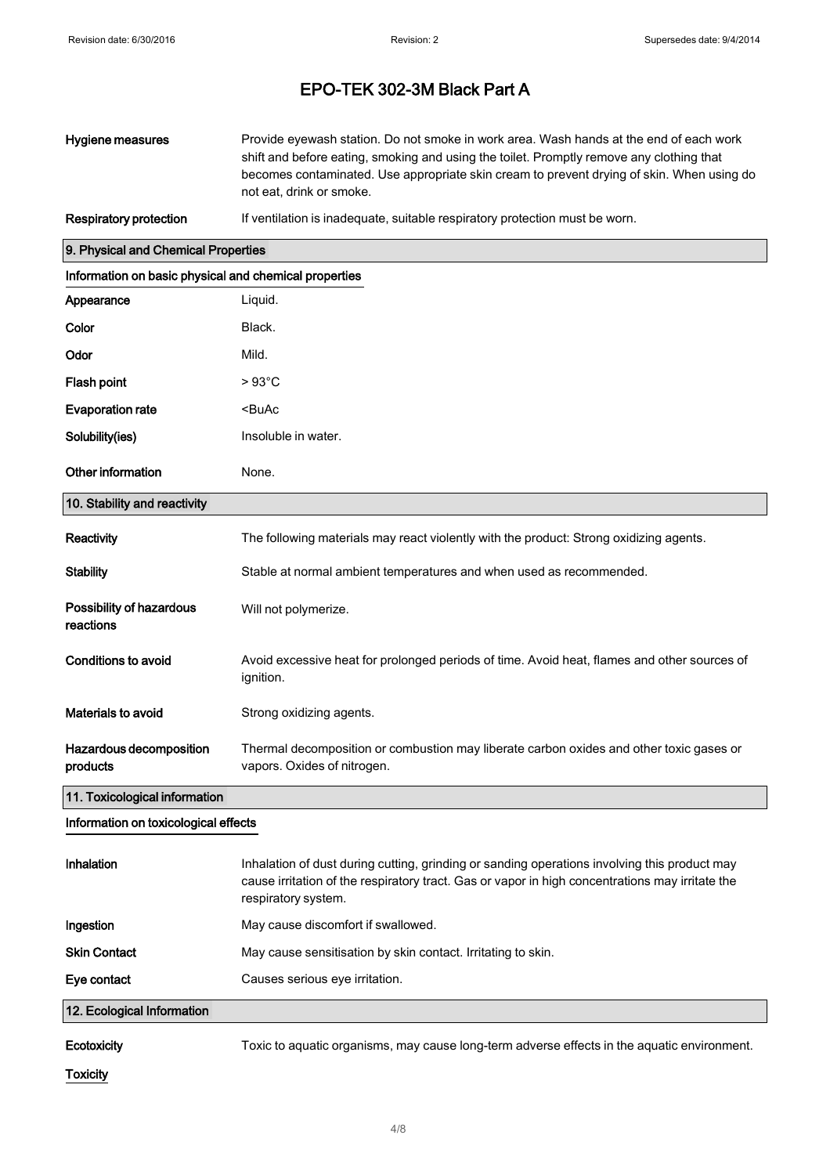| Hygiene measures | Provide eyewash station. Do not smoke in work area. Wash hands at the end of each work<br>shift and before eating, smoking and using the toilet. Promptly remove any clothing that |
|------------------|------------------------------------------------------------------------------------------------------------------------------------------------------------------------------------|
|                  | becomes contaminated. Use appropriate skin cream to prevent drying of skin. When using do<br>not eat, drink or smoke.                                                              |

Respiratory protection If ventilation is inadequate, suitable respiratory protection must be worn.

### 9. Physical and Chemical Properties

| Information on basic physical and chemical properties |                                                                                                                                                                                                                        |
|-------------------------------------------------------|------------------------------------------------------------------------------------------------------------------------------------------------------------------------------------------------------------------------|
| Appearance                                            | Liquid.                                                                                                                                                                                                                |
| Color                                                 | Black.                                                                                                                                                                                                                 |
| Odor                                                  | Mild.                                                                                                                                                                                                                  |
| <b>Flash point</b>                                    | $>93^{\circ}$ C                                                                                                                                                                                                        |
| <b>Evaporation rate</b>                               | <buac< th=""></buac<>                                                                                                                                                                                                  |
| Solubility(ies)                                       | Insoluble in water.                                                                                                                                                                                                    |
| Other information                                     | None.                                                                                                                                                                                                                  |
| 10. Stability and reactivity                          |                                                                                                                                                                                                                        |
| Reactivity                                            | The following materials may react violently with the product: Strong oxidizing agents.                                                                                                                                 |
| <b>Stability</b>                                      | Stable at normal ambient temperatures and when used as recommended.                                                                                                                                                    |
| Possibility of hazardous<br>reactions                 | Will not polymerize.                                                                                                                                                                                                   |
| <b>Conditions to avoid</b>                            | Avoid excessive heat for prolonged periods of time. Avoid heat, flames and other sources of<br>ignition.                                                                                                               |
| <b>Materials to avoid</b>                             | Strong oxidizing agents.                                                                                                                                                                                               |
| Hazardous decomposition<br>products                   | Thermal decomposition or combustion may liberate carbon oxides and other toxic gases or<br>vapors. Oxides of nitrogen.                                                                                                 |
| 11. Toxicological information                         |                                                                                                                                                                                                                        |
| Information on toxicological effects                  |                                                                                                                                                                                                                        |
| Inhalation                                            | Inhalation of dust during cutting, grinding or sanding operations involving this product may<br>cause irritation of the respiratory tract. Gas or vapor in high concentrations may irritate the<br>respiratory system. |
| Ingestion                                             | May cause discomfort if swallowed.                                                                                                                                                                                     |
| <b>Skin Contact</b>                                   | May cause sensitisation by skin contact. Irritating to skin.                                                                                                                                                           |

Eye contact Causes serious eye irritation.

### 12. Ecological Information

Ecotoxicity Toxic to aquatic organisms, may cause long-term adverse effects in the aquatic environment.

**Toxicity**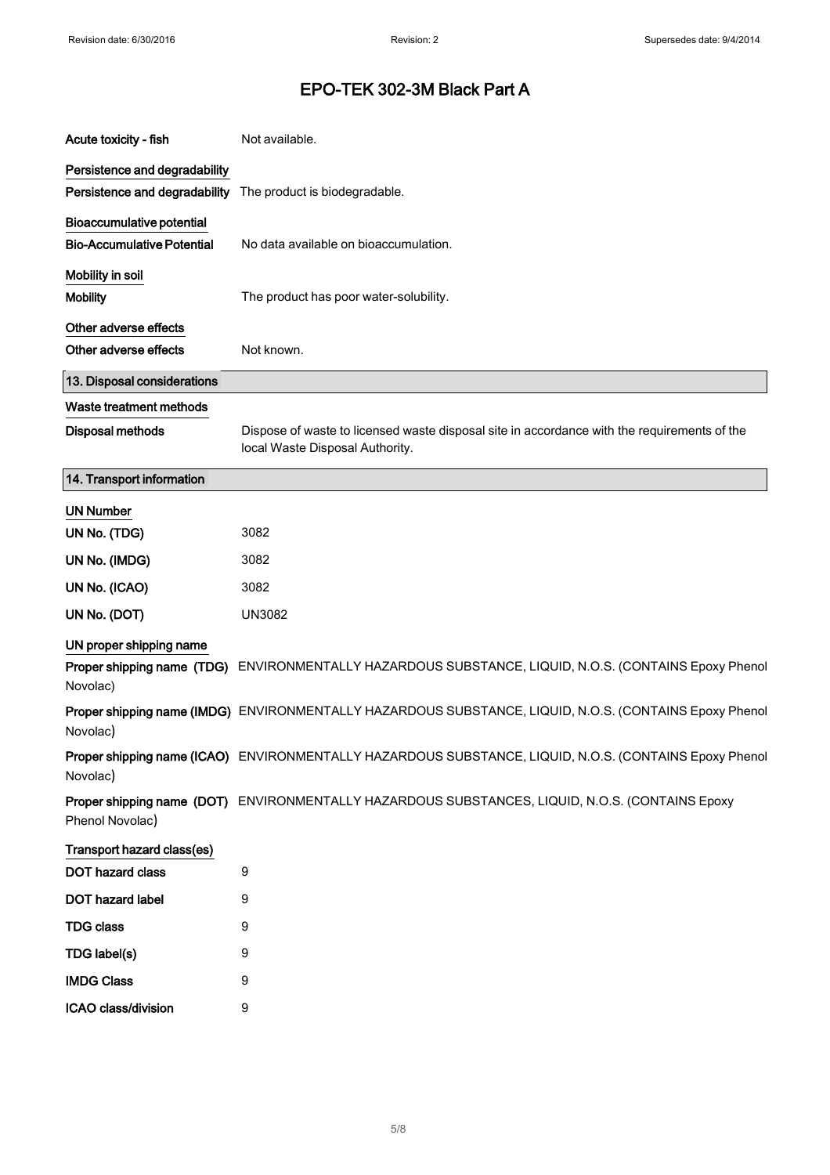| Acute toxicity - fish                                          | Not available.                                                                                                                 |
|----------------------------------------------------------------|--------------------------------------------------------------------------------------------------------------------------------|
| Persistence and degradability                                  | Persistence and degradability The product is biodegradable.                                                                    |
| Bioaccumulative potential<br><b>Bio-Accumulative Potential</b> | No data available on bioaccumulation.                                                                                          |
| Mobility in soil<br><b>Mobility</b>                            | The product has poor water-solubility.                                                                                         |
| Other adverse effects<br>Other adverse effects                 | Not known.                                                                                                                     |
| 13. Disposal considerations                                    |                                                                                                                                |
| Waste treatment methods                                        |                                                                                                                                |
| <b>Disposal methods</b>                                        | Dispose of waste to licensed waste disposal site in accordance with the requirements of the<br>local Waste Disposal Authority. |
| 14. Transport information                                      |                                                                                                                                |
| <b>UN Number</b>                                               |                                                                                                                                |
| UN No. (TDG)                                                   | 3082                                                                                                                           |
| UN No. (IMDG)                                                  | 3082                                                                                                                           |
| UN No. (ICAO)                                                  | 3082                                                                                                                           |
| UN No. (DOT)                                                   | <b>UN3082</b>                                                                                                                  |
| UN proper shipping name<br>Novolac)                            | Proper shipping name (TDG) ENVIRONMENTALLY HAZARDOUS SUBSTANCE, LIQUID, N.O.S. (CONTAINS Epoxy Phenol                          |
| Novolac)                                                       | Proper shipping name (IMDG) ENVIRONMENTALLY HAZARDOUS SUBSTANCE, LIQUID, N.O.S. (CONTAINS Epoxy Phenol                         |
| Novolac)                                                       | Proper shipping name (ICAO) ENVIRONMENTALLY HAZARDOUS SUBSTANCE, LIQUID, N.O.S. (CONTAINS Epoxy Phenol                         |
| Phenol Novolac)                                                | Proper shipping name (DOT) ENVIRONMENTALLY HAZARDOUS SUBSTANCES, LIQUID, N.O.S. (CONTAINS Epoxy                                |
| Transport hazard class(es)                                     |                                                                                                                                |
| DOT hazard class                                               | 9                                                                                                                              |
| DOT hazard label                                               | 9                                                                                                                              |
| <b>TDG class</b>                                               | 9                                                                                                                              |
| TDG label(s)                                                   | 9                                                                                                                              |
| <b>IMDG Class</b>                                              | 9                                                                                                                              |
| ICAO class/division                                            | 9                                                                                                                              |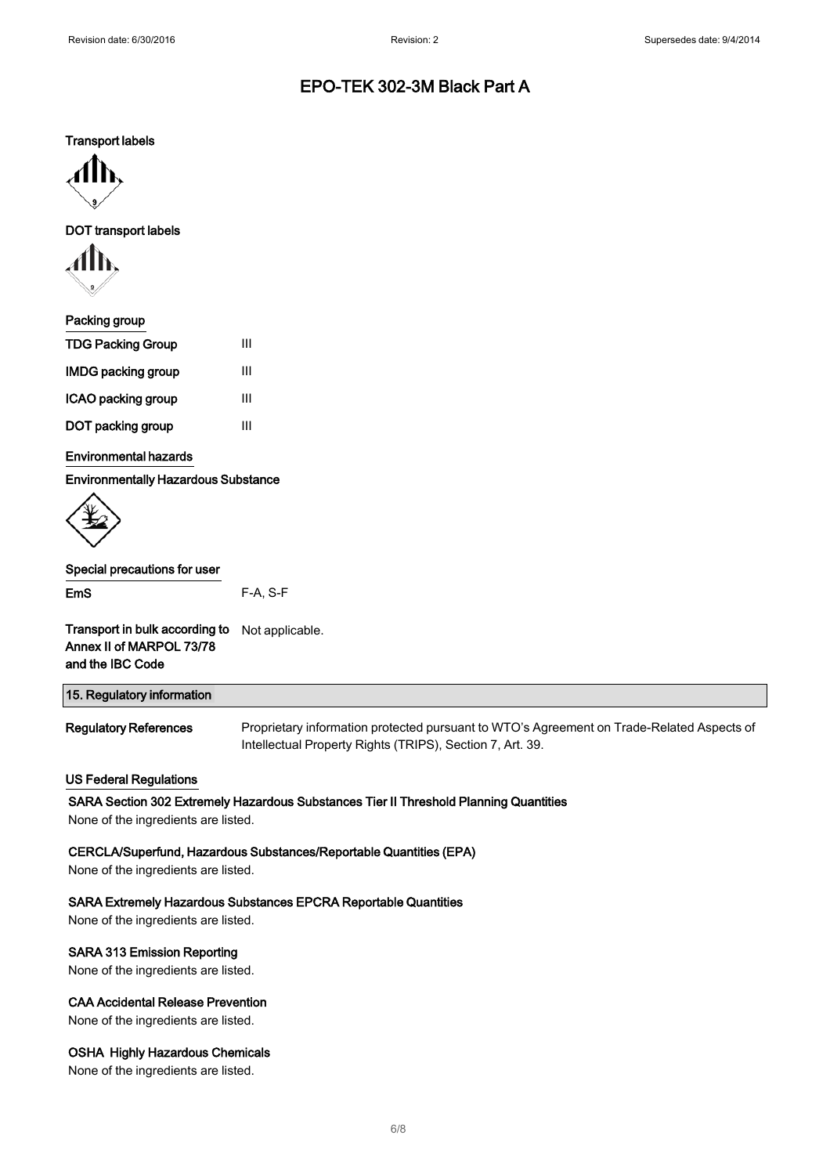Transport labels



DOT transport labels



| Packing group             |   |
|---------------------------|---|
| <b>TDG Packing Group</b>  | Ш |
| <b>IMDG packing group</b> | Ш |
| ICAO packing group        | Ш |
| DOT packing group         | Ш |
|                           |   |

### Environmental hazards

Environmentally Hazardous Substance



## Special precautions for user

| Transport in bulk according to | Not applicable. |
|--------------------------------|-----------------|
| Annex II of MARPOL 73/78       |                 |

EmS F-A, S-F

and the IBC Code

| 15. Regulatory information          |                                                                                                                                                        |
|-------------------------------------|--------------------------------------------------------------------------------------------------------------------------------------------------------|
| <b>Regulatory References</b>        | Proprietary information protected pursuant to WTO's Agreement on Trade-Related Aspects of<br>Intellectual Property Rights (TRIPS), Section 7, Art. 39. |
| <b>US Federal Regulations</b>       |                                                                                                                                                        |
|                                     | SARA Section 302 Extremely Hazardous Substances Tier II Threshold Planning Quantities                                                                  |
| None of the ingredients are listed. |                                                                                                                                                        |

### CERCLA/Superfund, Hazardous Substances/Reportable Quantities (EPA)

None of the ingredients are listed.

### SARA Extremely Hazardous Substances EPCRA Reportable Quantities

None of the ingredients are listed.

#### SARA 313 Emission Reporting

None of the ingredients are listed.

### CAA Accidental Release Prevention

None of the ingredients are listed.

### OSHA Highly Hazardous Chemicals

None of the ingredients are listed.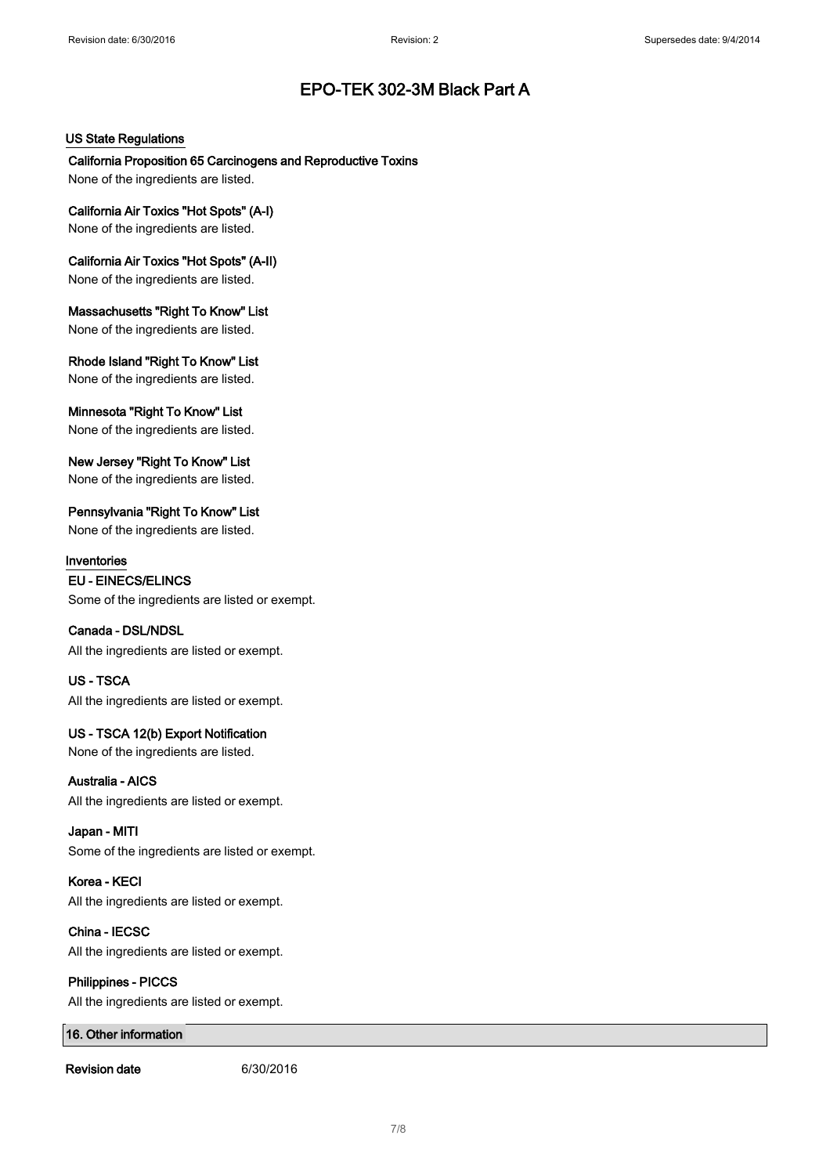### US State Regulations

California Proposition 65 Carcinogens and Reproductive Toxins None of the ingredients are listed.

California Air Toxics "Hot Spots" (A-I) None of the ingredients are listed.

California Air Toxics "Hot Spots" (A-II) None of the ingredients are listed.

Massachusetts "Right To Know" List None of the ingredients are listed.

Rhode Island "Right To Know" List None of the ingredients are listed.

Minnesota "Right To Know" List None of the ingredients are listed.

New Jersey "Right To Know" List None of the ingredients are listed.

Pennsylvania "Right To Know" List None of the ingredients are listed.

Inventories EU - EINECS/ELINCS Some of the ingredients are listed or exempt.

### Canada - DSL/NDSL

All the ingredients are listed or exempt.

US - TSCA All the ingredients are listed or exempt.

### US - TSCA 12(b) Export Notification

None of the ingredients are listed.

Australia - AICS All the ingredients are listed or exempt.

Japan - MITI Some of the ingredients are listed or exempt.

Korea - KECI All the ingredients are listed or exempt.

China - IECSC All the ingredients are listed or exempt.

Philippines - PICCS All the ingredients are listed or exempt.

16. Other information

Revision date 6/30/2016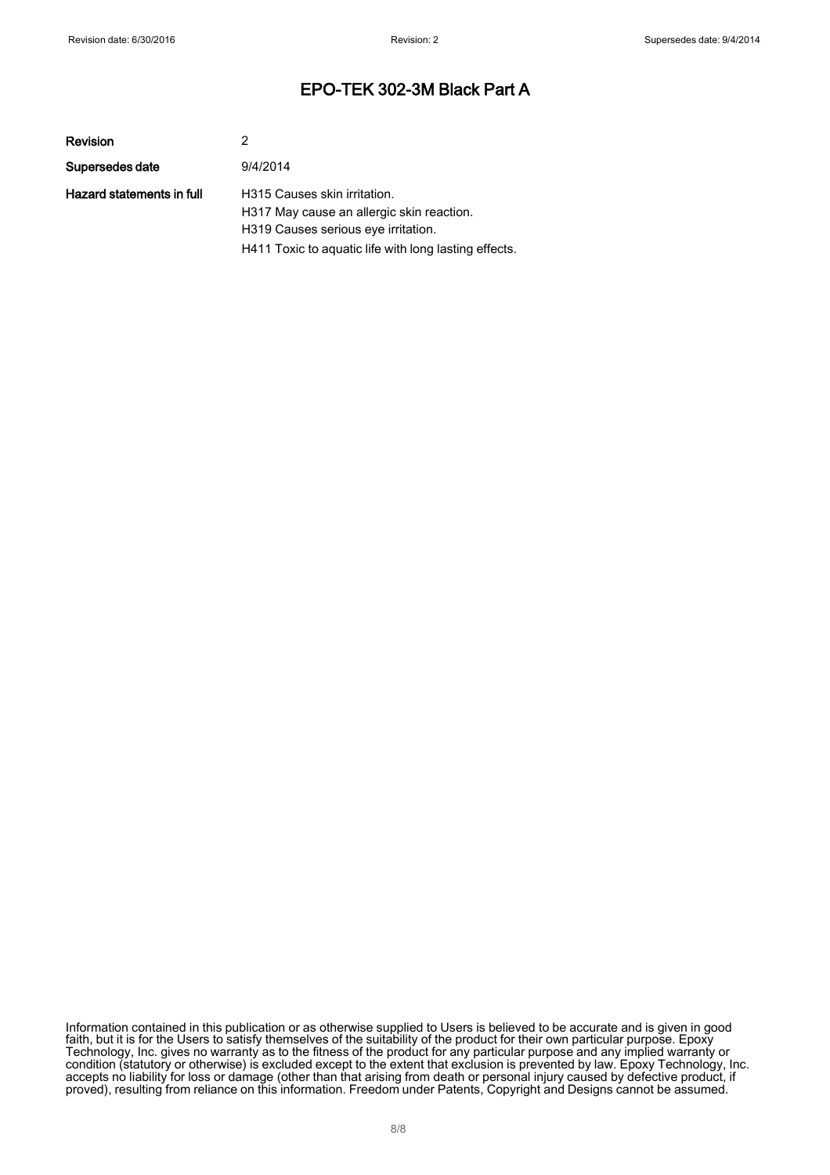| Revision                  | 2                                                                                                                                                                         |
|---------------------------|---------------------------------------------------------------------------------------------------------------------------------------------------------------------------|
| Supersedes date           | 9/4/2014                                                                                                                                                                  |
| Hazard statements in full | H315 Causes skin irritation.<br>H317 May cause an allergic skin reaction.<br>H319 Causes serious eye irritation.<br>H411 Toxic to aquatic life with long lasting effects. |

Information contained in this publication or as otherwise supplied to Users is believed to be accurate and is given in good faith, but it is for the Users to satisfy themselves of the suitability of the product for their own particular purpose. Epoxy Technology, Inc. gives no warranty as to the fitness of the product for any particular purpose and any implied warranty or condition (statutory or otherwise) is excluded except to the extent that exclusion is prevented by law. Epoxy Technology, Inc. accepts no liability for loss or damage (other than that arising from death or personal injury caused by defective product, if proved), resulting from reliance on this information. Freedom under Patents, Copyright and Designs cannot be assumed.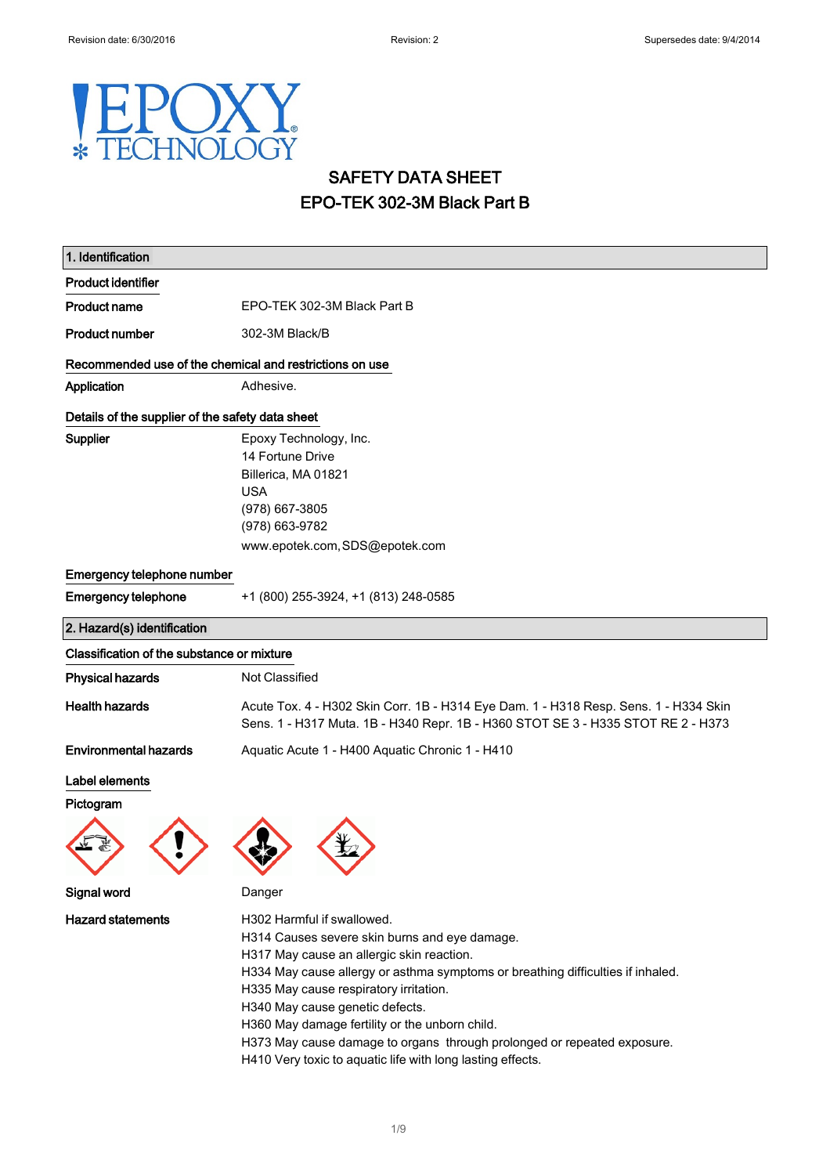### Y X F JGY HNOL  $\ast$

# SAFETY DATA SHEET EPO-TEK 302-3M Black Part B

| 1. Identification                                       |                                                                                                                                                                                                                                                                                                                                                                                                                                                                                     |  |
|---------------------------------------------------------|-------------------------------------------------------------------------------------------------------------------------------------------------------------------------------------------------------------------------------------------------------------------------------------------------------------------------------------------------------------------------------------------------------------------------------------------------------------------------------------|--|
| <b>Product identifier</b>                               |                                                                                                                                                                                                                                                                                                                                                                                                                                                                                     |  |
| <b>Product name</b>                                     | EPO-TEK 302-3M Black Part B                                                                                                                                                                                                                                                                                                                                                                                                                                                         |  |
| <b>Product number</b>                                   | 302-3M Black/B                                                                                                                                                                                                                                                                                                                                                                                                                                                                      |  |
| Recommended use of the chemical and restrictions on use |                                                                                                                                                                                                                                                                                                                                                                                                                                                                                     |  |
| Application                                             | Adhesive.                                                                                                                                                                                                                                                                                                                                                                                                                                                                           |  |
| Details of the supplier of the safety data sheet        |                                                                                                                                                                                                                                                                                                                                                                                                                                                                                     |  |
| Supplier                                                | Epoxy Technology, Inc.<br>14 Fortune Drive<br>Billerica, MA 01821<br><b>USA</b><br>(978) 667-3805<br>(978) 663-9782<br>www.epotek.com, SDS@epotek.com                                                                                                                                                                                                                                                                                                                               |  |
| Emergency telephone number                              |                                                                                                                                                                                                                                                                                                                                                                                                                                                                                     |  |
| <b>Emergency telephone</b>                              | +1 (800) 255-3924, +1 (813) 248-0585                                                                                                                                                                                                                                                                                                                                                                                                                                                |  |
| 2. Hazard(s) identification                             |                                                                                                                                                                                                                                                                                                                                                                                                                                                                                     |  |
| Classification of the substance or mixture              |                                                                                                                                                                                                                                                                                                                                                                                                                                                                                     |  |
| <b>Physical hazards</b>                                 | Not Classified                                                                                                                                                                                                                                                                                                                                                                                                                                                                      |  |
| <b>Health hazards</b>                                   | Acute Tox. 4 - H302 Skin Corr. 1B - H314 Eye Dam. 1 - H318 Resp. Sens. 1 - H334 Skin<br>Sens. 1 - H317 Muta. 1B - H340 Repr. 1B - H360 STOT SE 3 - H335 STOT RE 2 - H373                                                                                                                                                                                                                                                                                                            |  |
| <b>Environmental hazards</b>                            | Aquatic Acute 1 - H400 Aquatic Chronic 1 - H410                                                                                                                                                                                                                                                                                                                                                                                                                                     |  |
| Label elements<br>Pictogram                             |                                                                                                                                                                                                                                                                                                                                                                                                                                                                                     |  |
| Signal word                                             | Danger                                                                                                                                                                                                                                                                                                                                                                                                                                                                              |  |
| <b>Hazard statements</b>                                | H302 Harmful if swallowed.<br>H314 Causes severe skin burns and eye damage.<br>H317 May cause an allergic skin reaction.<br>H334 May cause allergy or asthma symptoms or breathing difficulties if inhaled.<br>H335 May cause respiratory irritation.<br>H340 May cause genetic defects.<br>H360 May damage fertility or the unborn child.<br>H373 May cause damage to organs through prolonged or repeated exposure.<br>H410 Very toxic to aquatic life with long lasting effects. |  |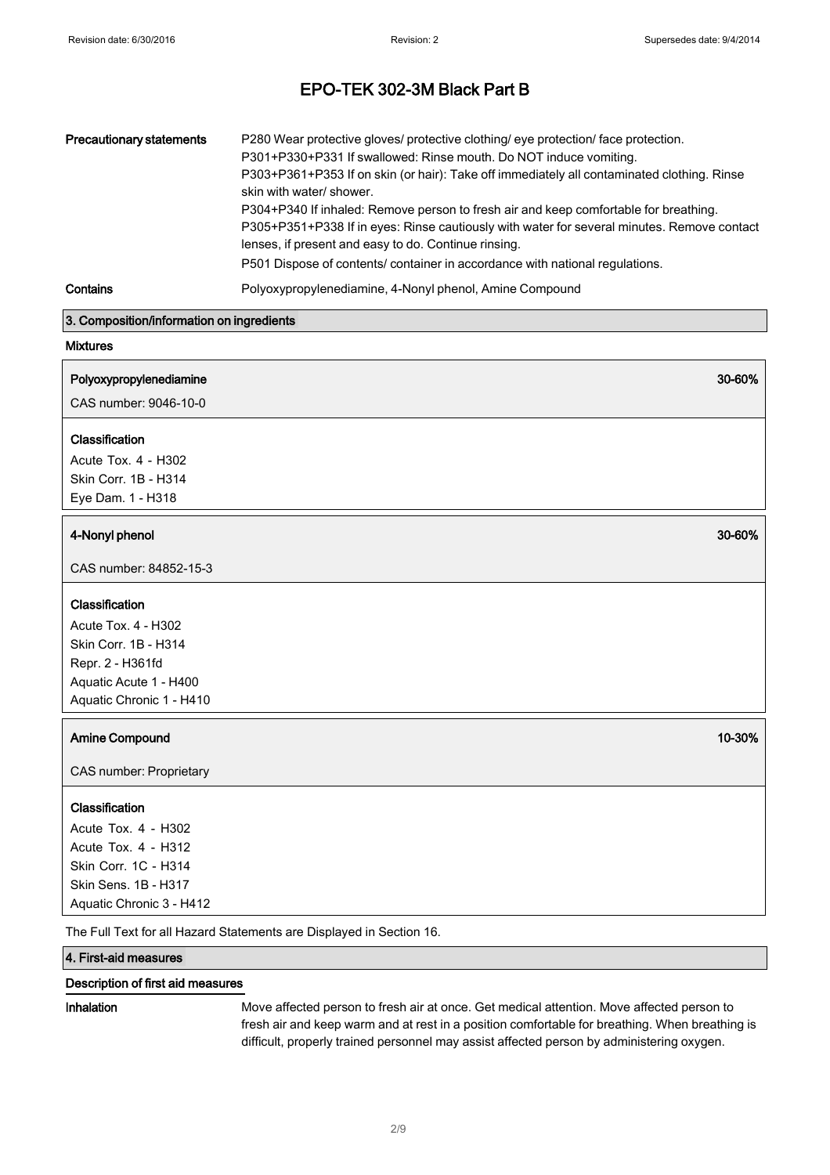| <b>Precautionary statements</b> | P280 Wear protective gloves/ protective clothing/ eye protection/ face protection.<br>P301+P330+P331 If swallowed: Rinse mouth. Do NOT induce vomiting.<br>P303+P361+P353 If on skin (or hair): Take off immediately all contaminated clothing. Rinse<br>skin with water/ shower.<br>P304+P340 If inhaled: Remove person to fresh air and keep comfortable for breathing.<br>P305+P351+P338 If in eyes: Rinse cautiously with water for several minutes. Remove contact<br>lenses, if present and easy to do. Continue rinsing.<br>P501 Dispose of contents/ container in accordance with national regulations. |
|---------------------------------|-----------------------------------------------------------------------------------------------------------------------------------------------------------------------------------------------------------------------------------------------------------------------------------------------------------------------------------------------------------------------------------------------------------------------------------------------------------------------------------------------------------------------------------------------------------------------------------------------------------------|
| Contains                        | Polyoxypropylenediamine, 4-Nonyl phenol, Amine Compound                                                                                                                                                                                                                                                                                                                                                                                                                                                                                                                                                         |

#### 3. Composition/information on ingredients

### Mixtures

| Polyoxypropylenediamine |  |
|-------------------------|--|
|-------------------------|--|

CAS number: 9046-10-0

### Classification

Acute Tox. 4 - H302 Skin Corr. 1B - H314 Eye Dam. 1 - H318

### 4-Nonyl phenol 30-60%

CAS number: 84852-15-3

### Classification

Acute Tox. 4 - H302 Skin Corr. 1B - H314 Repr. 2 - H361fd Aquatic Acute 1 - H400 Aquatic Chronic 1 - H410

### Amine Compound **10-30% Amine Compound 10-30%**

CAS number: Proprietary

#### Classification

Acute Tox. 4 - H302 Acute Tox. 4 - H312 Skin Corr. 1C - H314 Skin Sens. 1B - H317 Aquatic Chronic <sup>3</sup> - H412

The Full Text for all Hazard Statements are Displayed in Section 16.

### 4. First-aid measures

### Description of first aid measures

Inhalation Move affected person to fresh air at once. Get medical attention. Move affected person to fresh air and keep warm and at rest in a position comfortable for breathing. When breathing is difficult, properly trained personnel may assist affected person by administering oxygen.

30-60%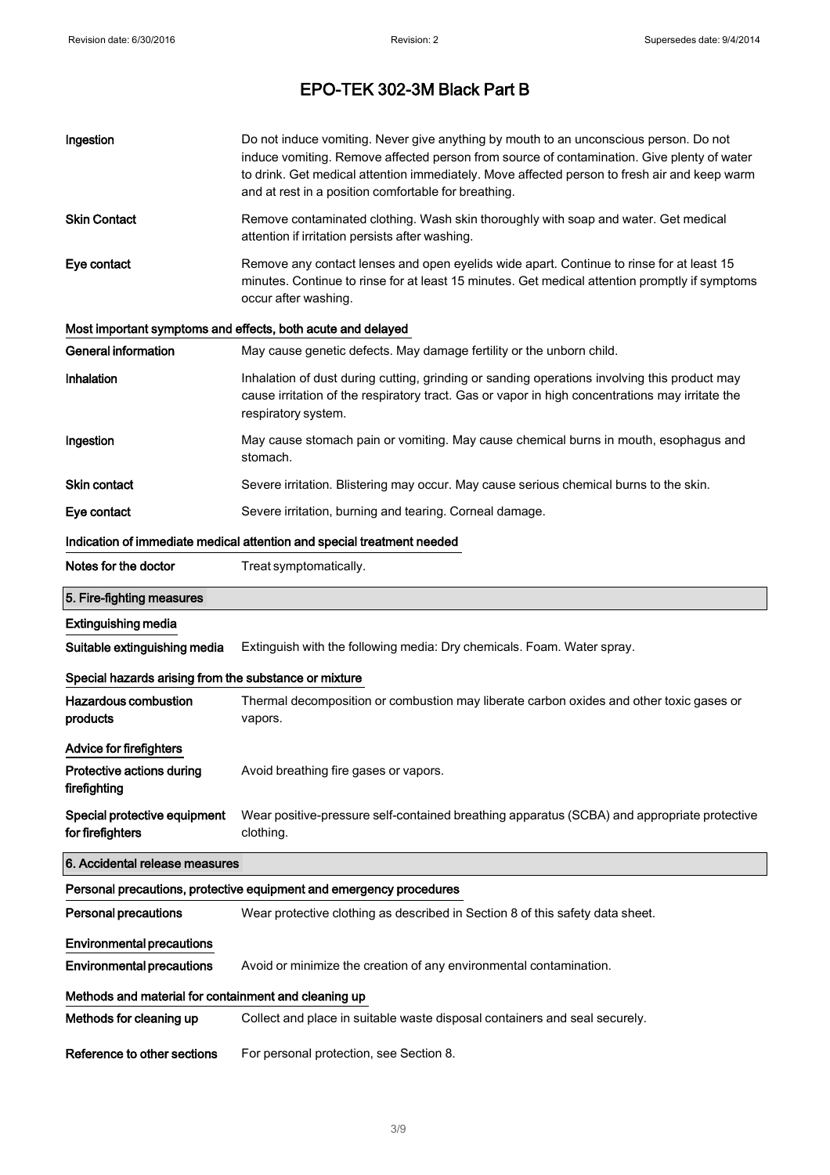| Ingestion                                                   | Do not induce vomiting. Never give anything by mouth to an unconscious person. Do not<br>induce vomiting. Remove affected person from source of contamination. Give plenty of water<br>to drink. Get medical attention immediately. Move affected person to fresh air and keep warm<br>and at rest in a position comfortable for breathing. |  |
|-------------------------------------------------------------|---------------------------------------------------------------------------------------------------------------------------------------------------------------------------------------------------------------------------------------------------------------------------------------------------------------------------------------------|--|
| <b>Skin Contact</b>                                         | Remove contaminated clothing. Wash skin thoroughly with soap and water. Get medical<br>attention if irritation persists after washing.                                                                                                                                                                                                      |  |
| Eye contact                                                 | Remove any contact lenses and open eyelids wide apart. Continue to rinse for at least 15<br>minutes. Continue to rinse for at least 15 minutes. Get medical attention promptly if symptoms<br>occur after washing.                                                                                                                          |  |
| Most important symptoms and effects, both acute and delayed |                                                                                                                                                                                                                                                                                                                                             |  |
| <b>General information</b>                                  | May cause genetic defects. May damage fertility or the unborn child.                                                                                                                                                                                                                                                                        |  |
| Inhalation                                                  | Inhalation of dust during cutting, grinding or sanding operations involving this product may<br>cause irritation of the respiratory tract. Gas or vapor in high concentrations may irritate the<br>respiratory system.                                                                                                                      |  |
| Ingestion                                                   | May cause stomach pain or vomiting. May cause chemical burns in mouth, esophagus and<br>stomach.                                                                                                                                                                                                                                            |  |
| Skin contact                                                | Severe irritation. Blistering may occur. May cause serious chemical burns to the skin.                                                                                                                                                                                                                                                      |  |
| Eye contact                                                 | Severe irritation, burning and tearing. Corneal damage.                                                                                                                                                                                                                                                                                     |  |
|                                                             | Indication of immediate medical attention and special treatment needed                                                                                                                                                                                                                                                                      |  |
| Notes for the doctor                                        | Treat symptomatically.                                                                                                                                                                                                                                                                                                                      |  |
| 5. Fire-fighting measures                                   |                                                                                                                                                                                                                                                                                                                                             |  |
| <b>Extinguishing media</b>                                  |                                                                                                                                                                                                                                                                                                                                             |  |
| Suitable extinguishing media                                | Extinguish with the following media: Dry chemicals. Foam. Water spray.                                                                                                                                                                                                                                                                      |  |
| Special hazards arising from the substance or mixture       |                                                                                                                                                                                                                                                                                                                                             |  |
| <b>Hazardous combustion</b><br>products                     | Thermal decomposition or combustion may liberate carbon oxides and other toxic gases or<br>vapors.                                                                                                                                                                                                                                          |  |
| <b>Advice for firefighters</b>                              |                                                                                                                                                                                                                                                                                                                                             |  |
| Protective actions during<br>firefighting                   | Avoid breathing fire gases or vapors.                                                                                                                                                                                                                                                                                                       |  |
| Special protective equipment<br>for firefighters            | Wear positive-pressure self-contained breathing apparatus (SCBA) and appropriate protective<br>clothing.                                                                                                                                                                                                                                    |  |
| 6. Accidental release measures                              |                                                                                                                                                                                                                                                                                                                                             |  |
|                                                             | Personal precautions, protective equipment and emergency procedures                                                                                                                                                                                                                                                                         |  |
| <b>Personal precautions</b>                                 | Wear protective clothing as described in Section 8 of this safety data sheet.                                                                                                                                                                                                                                                               |  |
| <b>Environmental precautions</b>                            |                                                                                                                                                                                                                                                                                                                                             |  |
| <b>Environmental precautions</b>                            | Avoid or minimize the creation of any environmental contamination.                                                                                                                                                                                                                                                                          |  |
| Methods and material for containment and cleaning up        |                                                                                                                                                                                                                                                                                                                                             |  |
| Methods for cleaning up                                     | Collect and place in suitable waste disposal containers and seal securely.                                                                                                                                                                                                                                                                  |  |
| Reference to other sections                                 | For personal protection, see Section 8.                                                                                                                                                                                                                                                                                                     |  |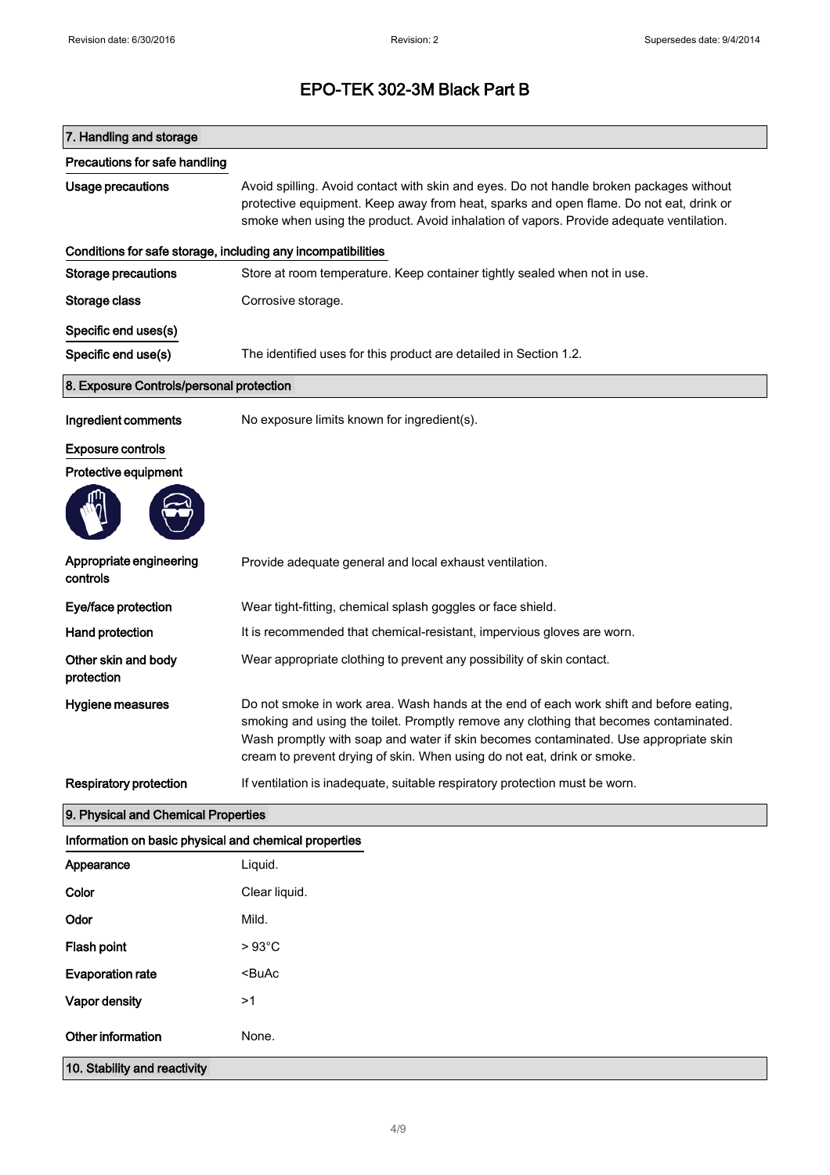| 7. Handling and storage                                      |                                                                                                                                                                                                                                                                                                                                                    |
|--------------------------------------------------------------|----------------------------------------------------------------------------------------------------------------------------------------------------------------------------------------------------------------------------------------------------------------------------------------------------------------------------------------------------|
| Precautions for safe handling                                |                                                                                                                                                                                                                                                                                                                                                    |
| Usage precautions                                            | Avoid spilling. Avoid contact with skin and eyes. Do not handle broken packages without<br>protective equipment. Keep away from heat, sparks and open flame. Do not eat, drink or<br>smoke when using the product. Avoid inhalation of vapors. Provide adequate ventilation.                                                                       |
| Conditions for safe storage, including any incompatibilities |                                                                                                                                                                                                                                                                                                                                                    |
| <b>Storage precautions</b>                                   | Store at room temperature. Keep container tightly sealed when not in use.                                                                                                                                                                                                                                                                          |
| Storage class                                                | Corrosive storage.                                                                                                                                                                                                                                                                                                                                 |
| Specific end uses(s)                                         |                                                                                                                                                                                                                                                                                                                                                    |
| Specific end use(s)                                          | The identified uses for this product are detailed in Section 1.2.                                                                                                                                                                                                                                                                                  |
| 8. Exposure Controls/personal protection                     |                                                                                                                                                                                                                                                                                                                                                    |
| Ingredient comments                                          | No exposure limits known for ingredient(s).                                                                                                                                                                                                                                                                                                        |
| <b>Exposure controls</b>                                     |                                                                                                                                                                                                                                                                                                                                                    |
| Protective equipment                                         |                                                                                                                                                                                                                                                                                                                                                    |
|                                                              |                                                                                                                                                                                                                                                                                                                                                    |
| Appropriate engineering<br>controls                          | Provide adequate general and local exhaust ventilation.                                                                                                                                                                                                                                                                                            |
| Eye/face protection                                          | Wear tight-fitting, chemical splash goggles or face shield.                                                                                                                                                                                                                                                                                        |
| <b>Hand protection</b>                                       | It is recommended that chemical-resistant, impervious gloves are worn.                                                                                                                                                                                                                                                                             |
| Other skin and body<br>protection                            | Wear appropriate clothing to prevent any possibility of skin contact.                                                                                                                                                                                                                                                                              |
| Hygiene measures                                             | Do not smoke in work area. Wash hands at the end of each work shift and before eating,<br>smoking and using the toilet. Promptly remove any clothing that becomes contaminated.<br>Wash promptly with soap and water if skin becomes contaminated. Use appropriate skin<br>cream to prevent drying of skin. When using do not eat, drink or smoke. |
| <b>Respiratory protection</b>                                | If ventilation is inadequate, suitable respiratory protection must be worn.                                                                                                                                                                                                                                                                        |
| 9. Physical and Chemical Properties                          |                                                                                                                                                                                                                                                                                                                                                    |
| Information on basic physical and chemical properties        |                                                                                                                                                                                                                                                                                                                                                    |
| Appearance                                                   | Liquid.                                                                                                                                                                                                                                                                                                                                            |
| Color                                                        | Clear liquid.                                                                                                                                                                                                                                                                                                                                      |
| Odor                                                         | Mild.                                                                                                                                                                                                                                                                                                                                              |
| Flash point                                                  | $>93^{\circ}$ C                                                                                                                                                                                                                                                                                                                                    |
| <b>Evaporation rate</b>                                      | <buac< th=""></buac<>                                                                                                                                                                                                                                                                                                                              |
| Vapor density                                                | >1                                                                                                                                                                                                                                                                                                                                                 |
| Other information                                            | None.                                                                                                                                                                                                                                                                                                                                              |
| 10. Stability and reactivity                                 |                                                                                                                                                                                                                                                                                                                                                    |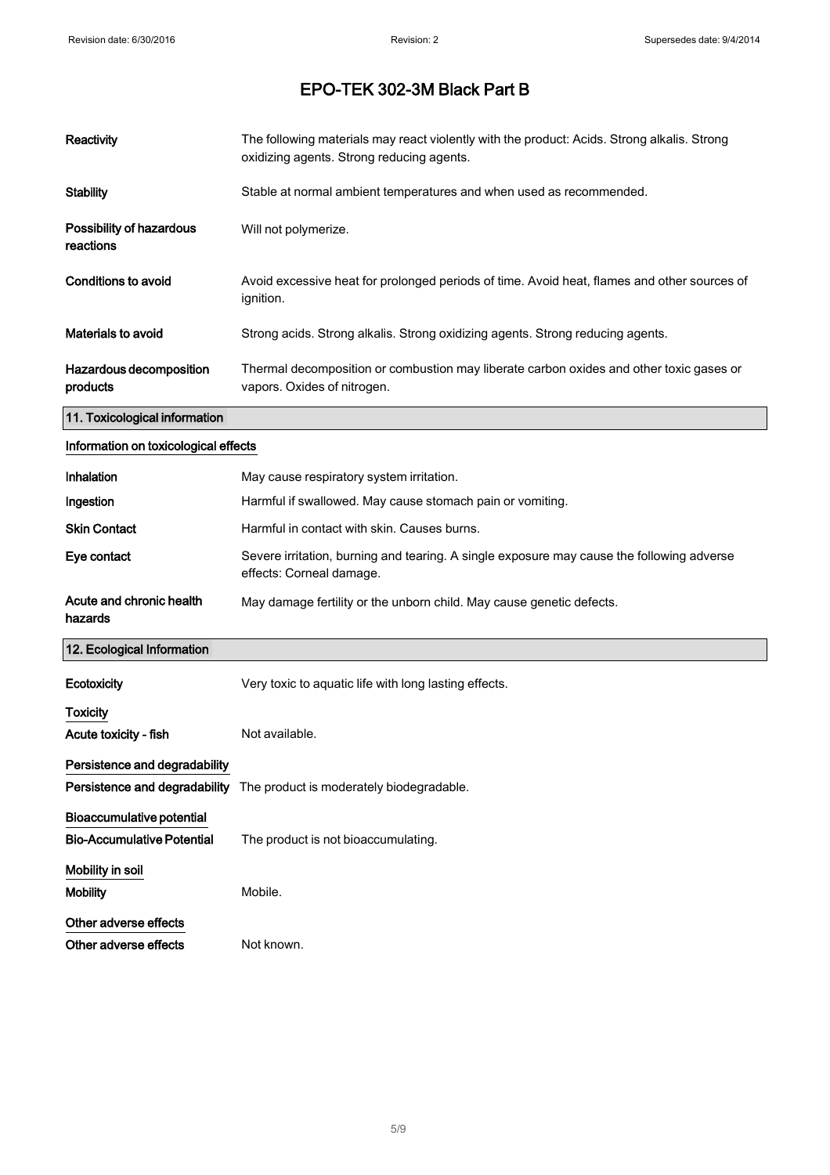| <b>Reactivity</b>                     | The following materials may react violently with the product: Acids. Strong alkalis. Strong<br>oxidizing agents. Strong reducing agents. |
|---------------------------------------|------------------------------------------------------------------------------------------------------------------------------------------|
| <b>Stability</b>                      | Stable at normal ambient temperatures and when used as recommended.                                                                      |
| Possibility of hazardous<br>reactions | Will not polymerize.                                                                                                                     |
| Conditions to avoid                   | Avoid excessive heat for prolonged periods of time. Avoid heat, flames and other sources of<br>ignition.                                 |
| <b>Materials to avoid</b>             | Strong acids. Strong alkalis. Strong oxidizing agents. Strong reducing agents.                                                           |
| Hazardous decomposition<br>products   | Thermal decomposition or combustion may liberate carbon oxides and other toxic gases or<br>vapors. Oxides of nitrogen.                   |
| 11. Toxicological information         |                                                                                                                                          |
| Information on toxicological effects  |                                                                                                                                          |
| Inhalation                            | May cause respiratory system irritation.                                                                                                 |
| Ingestion                             | Harmful if swallowed. May cause stomach pain or vomiting.                                                                                |
| <b>Skin Contact</b>                   | Harmful in contact with skin. Causes burns.                                                                                              |
| Eye contact                           | Severe irritation, burning and tearing. A single exposure may cause the following adverse<br>effects: Corneal damage.                    |
| Acute and chronic health<br>hazards   | May damage fertility or the unborn child. May cause genetic defects.                                                                     |

### 12. Ecological Information

| 12. Ecological Information        |                                                                               |
|-----------------------------------|-------------------------------------------------------------------------------|
| Ecotoxicity                       | Very toxic to aquatic life with long lasting effects.                         |
| <b>Toxicity</b>                   |                                                                               |
| Acute toxicity - fish             | Not available.                                                                |
| Persistence and degradability     |                                                                               |
|                                   | <b>Persistence and degradability</b> The product is moderately biodegradable. |
| Bioaccumulative potential         |                                                                               |
| <b>Bio-Accumulative Potential</b> | The product is not bioaccumulating.                                           |
| Mobility in soil                  |                                                                               |
| <b>Mobility</b>                   | Mobile.                                                                       |
| Other adverse effects             |                                                                               |
| Other adverse effects             | Not known.                                                                    |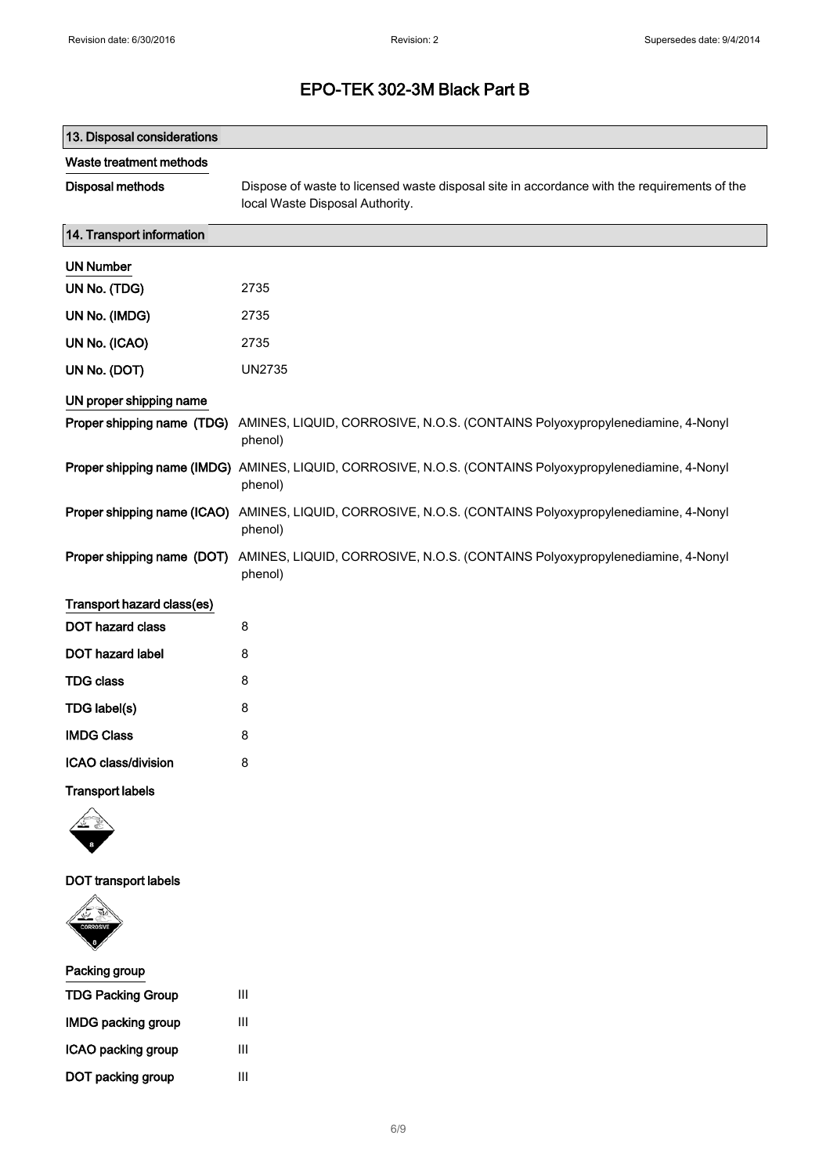| 13. Disposal considerations |                                                                                                                                |
|-----------------------------|--------------------------------------------------------------------------------------------------------------------------------|
| Waste treatment methods     |                                                                                                                                |
| Disposal methods            | Dispose of waste to licensed waste disposal site in accordance with the requirements of the<br>local Waste Disposal Authority. |
| 14. Transport information   |                                                                                                                                |
| <b>UN Number</b>            |                                                                                                                                |
| UN No. (TDG)                | 2735                                                                                                                           |
| UN No. (IMDG)               | 2735                                                                                                                           |
| UN No. (ICAO)               | 2735                                                                                                                           |
| UN No. (DOT)                | <b>UN2735</b>                                                                                                                  |
| UN proper shipping name     |                                                                                                                                |
| Proper shipping name (TDG)  | AMINES, LIQUID, CORROSIVE, N.O.S. (CONTAINS Polyoxypropylenediamine, 4-Nonyl<br>phenol)                                        |
|                             | Proper shipping name (IMDG) AMINES, LIQUID, CORROSIVE, N.O.S. (CONTAINS Polyoxypropylenediamine, 4-Nonyl<br>phenol)            |
| Proper shipping name (ICAO) | AMINES, LIQUID, CORROSIVE, N.O.S. (CONTAINS Polyoxypropylenediamine, 4-Nonyl<br>phenol)                                        |
| Proper shipping name (DOT)  | AMINES, LIQUID, CORROSIVE, N.O.S. (CONTAINS Polyoxypropylenediamine, 4-Nonyl<br>phenol)                                        |
| Transport hazard class(es)  |                                                                                                                                |
| DOT hazard class            | 8                                                                                                                              |
| DOT hazard label            | 8                                                                                                                              |
| <b>TDG class</b>            | 8                                                                                                                              |
| TDG label(s)                | 8                                                                                                                              |
| <b>IMDG Class</b>           | 8                                                                                                                              |
| ICAO class/division         | 8                                                                                                                              |
| <b>Transport labels</b>     |                                                                                                                                |
|                             |                                                                                                                                |
| <b>DOT</b> transport labels |                                                                                                                                |



| Packing group             |   |
|---------------------------|---|
| <b>TDG Packing Group</b>  | Ш |
| <b>IMDG packing group</b> | Ш |
| ICAO packing group        | Ш |
| DOT packing group         | Ш |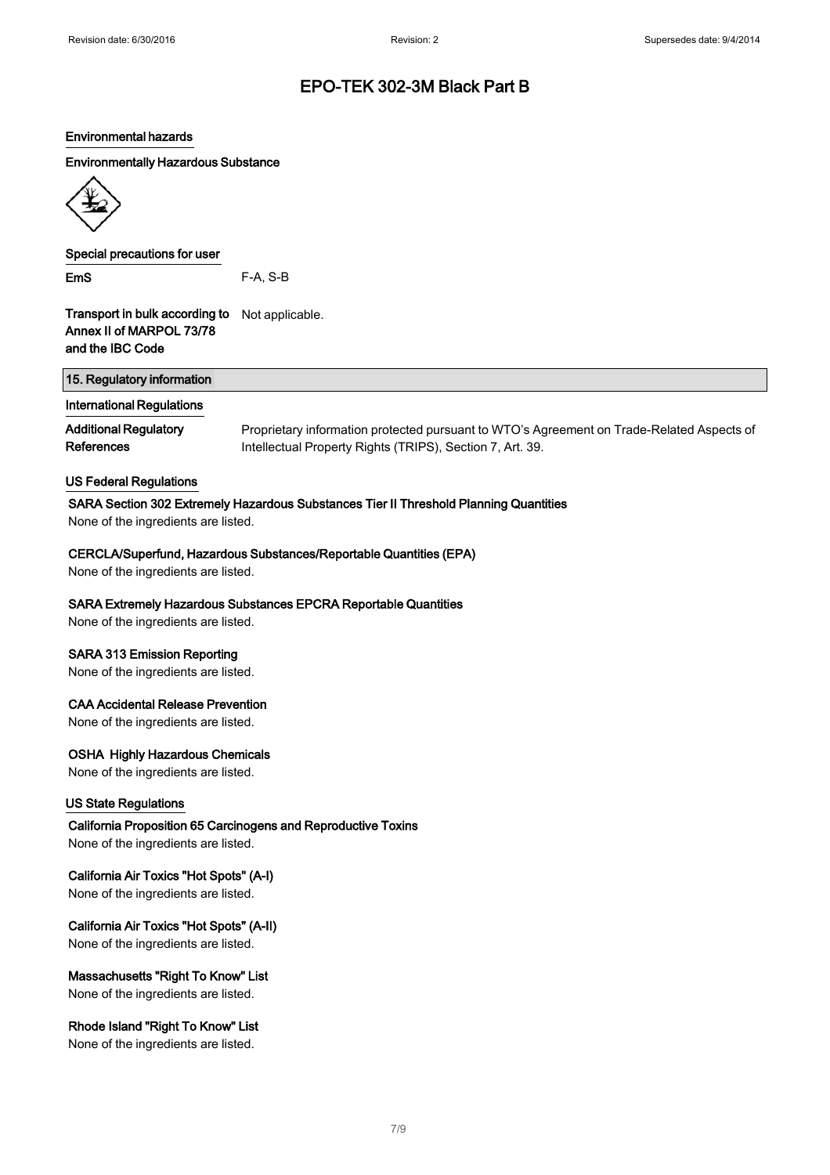#### Environmental hazards

### Environmentally Hazardous Substance



Special precautions for user

EmS F-A, S-B

Transport in bulk according to Not applicable. Annex II of MARPOL 73/78 and the IBC Code

| 15. Regulatory information                              |  |  |
|---------------------------------------------------------|--|--|
| المتواصل المتعارب والمتلاح المتواطئ والمستواة والمتناور |  |  |

### International Regulations

Additional Regulatory **References** 

Proprietary information protected pursuant to WTO's Agreement on Trade-Related Aspects of Intellectual Property Rights (TRIPS), Section 7, Art. 39.

#### US Federal Regulations

#### SARA Section 302 Extremely Hazardous Substances Tier II Threshold Planning Quantities

None of the ingredients are listed.

#### CERCLA/Superfund, Hazardous Substances/Reportable Quantities (EPA)

None of the ingredients are listed.

### SARA Extremely Hazardous Substances EPCRA Reportable Quantities

None of the ingredients are listed.

### SARA 313 Emission Reporting

None of the ingredients are listed.

#### CAA Accidental Release Prevention

None of the ingredients are listed.

### OSHA Highly Hazardous Chemicals

None of the ingredients are listed.

### US State Regulations

California Proposition 65 Carcinogens and Reproductive Toxins None of the ingredients are listed.

### California Air Toxics "Hot Spots" (A-I)

None of the ingredients are listed.

### California Air Toxics "Hot Spots" (A-II)

None of the ingredients are listed.

### Massachusetts "Right To Know" List

None of the ingredients are listed.

### Rhode Island "Right To Know" List

None of the ingredients are listed.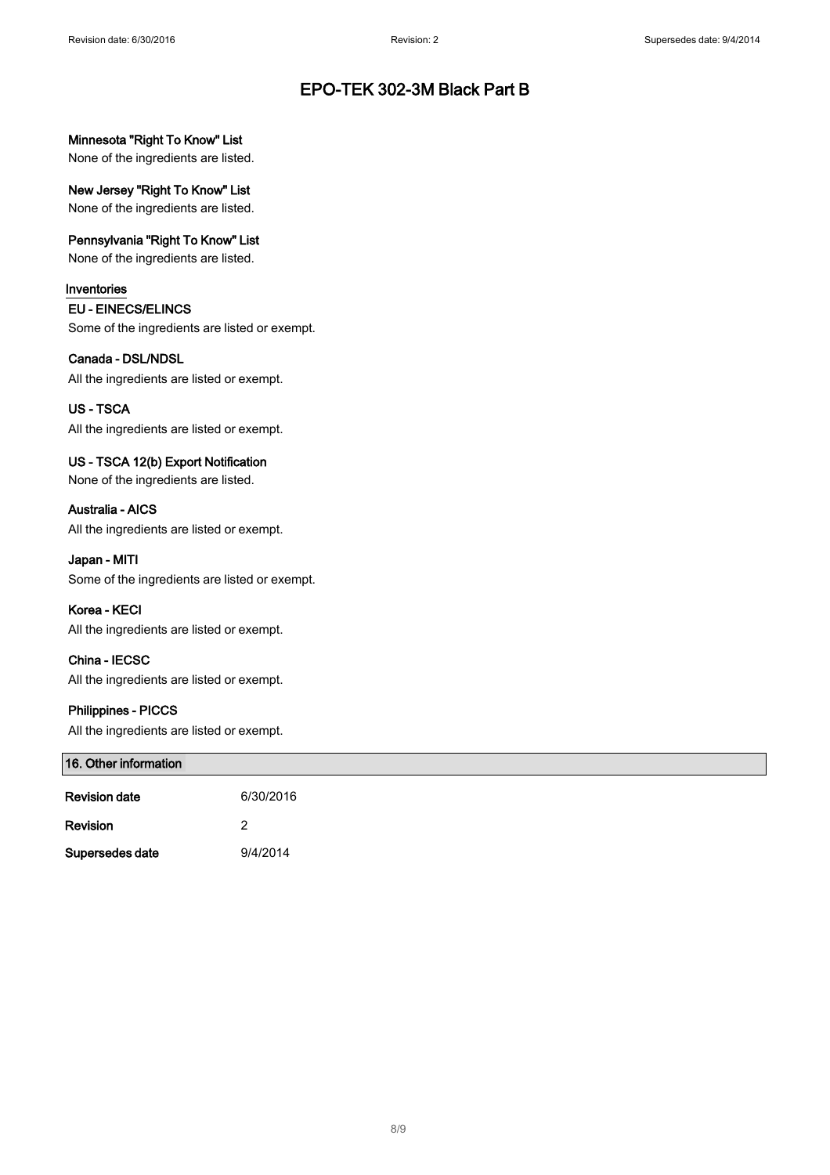### Minnesota "Right To Know" List

None of the ingredients are listed.

New Jersey "Right To Know" List

None of the ingredients are listed.

### Pennsylvania "Right To Know" List

None of the ingredients are listed.

### Inventories

#### EU - EINECS/ELINCS

Some of the ingredients are listed or exempt.

### Canada - DSL/NDSL

All the ingredients are listed or exempt.

### US - TSCA

All the ingredients are listed or exempt.

### US - TSCA 12(b) Export Notification

None of the ingredients are listed.

Australia - AICS All the ingredients are listed or exempt.

#### Japan - MITI

Some of the ingredients are listed or exempt.

### Korea - KECI

All the ingredients are listed or exempt.

China - IECSC All the ingredients are listed or exempt.

### Philippines - PICCS

All the ingredients are listed or exempt.

| 16. Other information |           |  |
|-----------------------|-----------|--|
| <b>Revision date</b>  | 6/30/2016 |  |
| Revision              |           |  |
| Supersedes date       | 9/4/2014  |  |